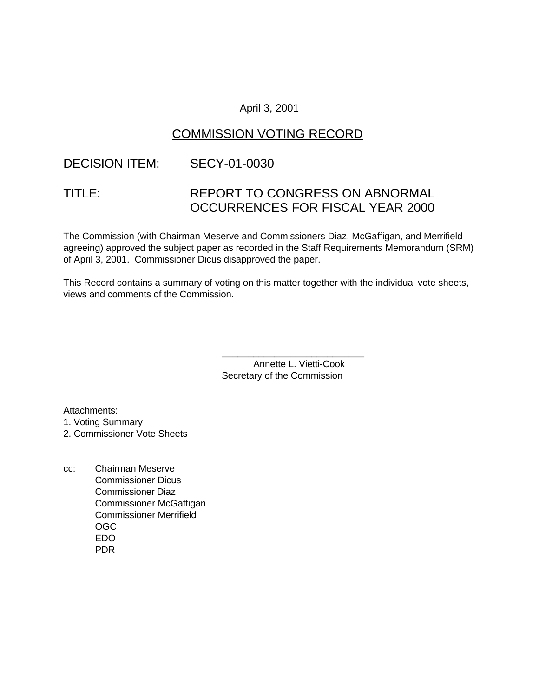### April 3, 2001

# COMMISSION VOTING RECORD

# DECISION ITEM: SECY-01-0030

# TITLE: REPORT TO CONGRESS ON ABNORMAL OCCURRENCES FOR FISCAL YEAR 2000

The Commission (with Chairman Meserve and Commissioners Diaz, McGaffigan, and Merrifield agreeing) approved the subject paper as recorded in the Staff Requirements Memorandum (SRM) of April 3, 2001. Commissioner Dicus disapproved the paper.

This Record contains a summary of voting on this matter together with the individual vote sheets, views and comments of the Commission.

> Annette L. Vietti-Cook Secretary of the Commission

\_\_\_\_\_\_\_\_\_\_\_\_\_\_\_\_\_\_\_\_\_\_\_\_\_\_\_

Attachments:

- 1. Voting Summary
- 2. Commissioner Vote Sheets
- cc: Chairman Meserve Commissioner Dicus Commissioner Diaz Commissioner McGaffigan Commissioner Merrifield OGC EDO PDR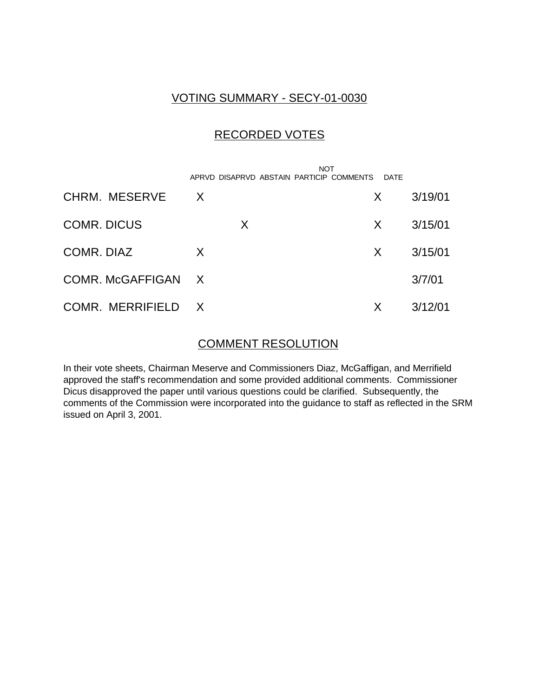### VOTING SUMMARY - SECY-01-0030

# RECORDED VOTES

|                    | APRVD DISAPRVD ABSTAIN PARTICIP COMMENTS | <b>NOT</b><br>DATE |         |
|--------------------|------------------------------------------|--------------------|---------|
| CHRM. MESERVE      | $\mathsf{X}$                             | X.                 | 3/19/01 |
| <b>COMR. DICUS</b> | X                                        | X                  | 3/15/01 |
| COMR. DIAZ         | X                                        | X                  | 3/15/01 |
| COMR. McGAFFIGAN X |                                          |                    | 3/7/01  |
| COMR. MERRIFIELD X |                                          | Х                  | 3/12/01 |

### COMMENT RESOLUTION

In their vote sheets, Chairman Meserve and Commissioners Diaz, McGaffigan, and Merrifield approved the staff's recommendation and some provided additional comments. Commissioner Dicus disapproved the paper until various questions could be clarified. Subsequently, the comments of the Commission were incorporated into the guidance to staff as reflected in the SRM issued on April 3, 2001.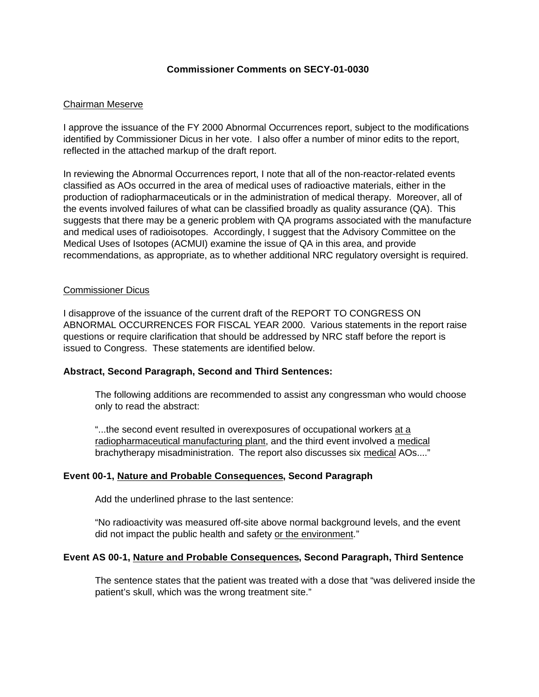#### **Commissioner Comments on SECY-01-0030**

#### Chairman Meserve

I approve the issuance of the FY 2000 Abnormal Occurrences report, subject to the modifications identified by Commissioner Dicus in her vote. I also offer a number of minor edits to the report, reflected in the attached markup of the draft report.

In reviewing the Abnormal Occurrences report, I note that all of the non-reactor-related events classified as AOs occurred in the area of medical uses of radioactive materials, either in the production of radiopharmaceuticals or in the administration of medical therapy. Moreover, all of the events involved failures of what can be classified broadly as quality assurance (QA). This suggests that there may be a generic problem with QA programs associated with the manufacture and medical uses of radioisotopes. Accordingly, I suggest that the Advisory Committee on the Medical Uses of Isotopes (ACMUI) examine the issue of QA in this area, and provide recommendations, as appropriate, as to whether additional NRC regulatory oversight is required.

#### Commissioner Dicus

I disapprove of the issuance of the current draft of the REPORT TO CONGRESS ON ABNORMAL OCCURRENCES FOR FISCAL YEAR 2000. Various statements in the report raise questions or require clarification that should be addressed by NRC staff before the report is issued to Congress. These statements are identified below.

#### **Abstract, Second Paragraph, Second and Third Sentences:**

The following additions are recommended to assist any congressman who would choose only to read the abstract:

"...the second event resulted in overexposures of occupational workers at a radiopharmaceutical manufacturing plant, and the third event involved a medical brachytherapy misadministration. The report also discusses six medical AOs...."

#### **Event 00-1, Nature and Probable Consequences, Second Paragraph**

Add the underlined phrase to the last sentence:

"No radioactivity was measured off-site above normal background levels, and the event did not impact the public health and safety or the environment."

#### **Event AS 00-1, Nature and Probable Consequences, Second Paragraph, Third Sentence**

The sentence states that the patient was treated with a dose that "was delivered inside the patient's skull, which was the wrong treatment site."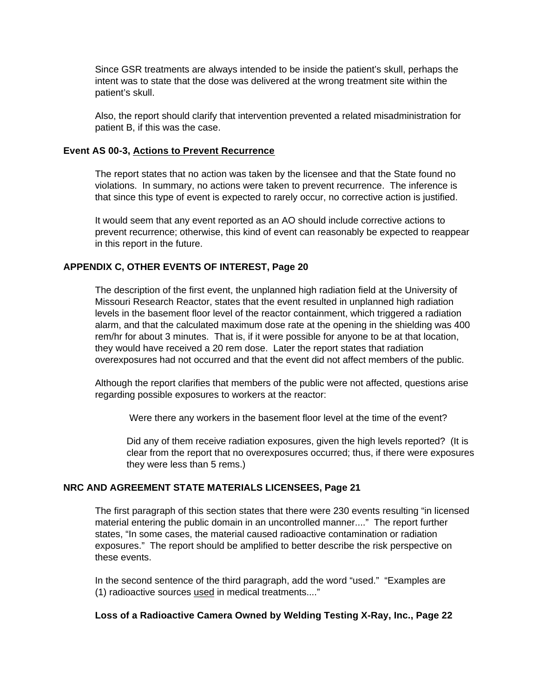Since GSR treatments are always intended to be inside the patient's skull, perhaps the intent was to state that the dose was delivered at the wrong treatment site within the patient's skull.

Also, the report should clarify that intervention prevented a related misadministration for patient B, if this was the case.

#### **Event AS 00-3, Actions to Prevent Recurrence**

The report states that no action was taken by the licensee and that the State found no violations. In summary, no actions were taken to prevent recurrence. The inference is that since this type of event is expected to rarely occur, no corrective action is justified.

It would seem that any event reported as an AO should include corrective actions to prevent recurrence; otherwise, this kind of event can reasonably be expected to reappear in this report in the future.

#### **APPENDIX C, OTHER EVENTS OF INTEREST, Page 20**

The description of the first event, the unplanned high radiation field at the University of Missouri Research Reactor, states that the event resulted in unplanned high radiation levels in the basement floor level of the reactor containment, which triggered a radiation alarm, and that the calculated maximum dose rate at the opening in the shielding was 400 rem/hr for about 3 minutes. That is, if it were possible for anyone to be at that location, they would have received a 20 rem dose. Later the report states that radiation overexposures had not occurred and that the event did not affect members of the public.

Although the report clarifies that members of the public were not affected, questions arise regarding possible exposures to workers at the reactor:

Were there any workers in the basement floor level at the time of the event?

Did any of them receive radiation exposures, given the high levels reported? (It is clear from the report that no overexposures occurred; thus, if there were exposures they were less than 5 rems.)

#### **NRC AND AGREEMENT STATE MATERIALS LICENSEES, Page 21**

The first paragraph of this section states that there were 230 events resulting "in licensed material entering the public domain in an uncontrolled manner...." The report further states, "In some cases, the material caused radioactive contamination or radiation exposures." The report should be amplified to better describe the risk perspective on these events.

In the second sentence of the third paragraph, add the word "used." "Examples are (1) radioactive sources used in medical treatments...."

#### **Loss of a Radioactive Camera Owned by Welding Testing X-Ray, Inc., Page 22**